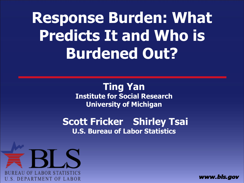**Response Burden: What Predicts It and Who is Burdened Out?**

> **Ting Yan Institute for Social Research University of Michigan**

**Scott Fricker Shirley Tsai U.S. Bureau of Labor Statistics**



www.bls.gov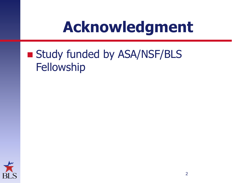#### **Acknowledgment**

#### ■ Study funded by ASA/NSF/BLS **Fellowship**

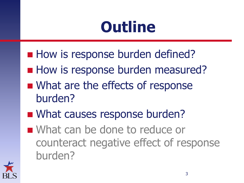#### **Outline**

- How is response burden defined?
- **How is response burden measured?**
- What are the effects of response burden?
- What causes response burden?
- What can be done to reduce or counteract negative effect of response burden?

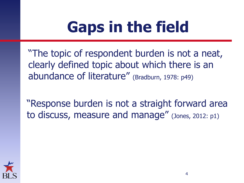# **Gaps in the field**

"The topic of respondent burden is not a neat, clearly defined topic about which there is an abundance of literature" (Bradburn, 1978: p49)

"Response burden is not a straight forward area to discuss, measure and manage" (Jones, 2012: p1)

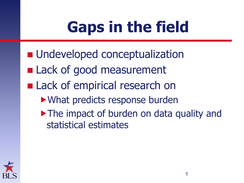# **Gaps in the field**

- **Undeveloped conceptualization Lack of good measurement Lack of empirical research on** What predicts response burden
	- The impact of burden on data quality and statistical estimates

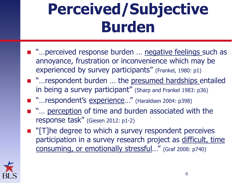### **Perceived/Subjective Burden**

- "... perceived response burden ... negative feelings such as annoyance, frustration or inconvenience which may be experienced by survey participants" (Frankel, 1980: p1)
- "...respondent burden ... the presumed hardships entailed in being a survey participant" (Sharp and Frankel 1983: p36)
- "…respondent's experience…" (Haraldsen 2004: p398)
- "... perception of time and burden associated with the response task" (Giesen 2012: p1-2)
- **T** "[T]he degree to which a survey respondent perceives participation in a survey research project as difficult, time consuming, or emotionally stressful…" (Graf 2008: p740)

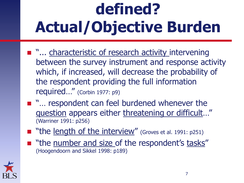# **defined? Actual/Objective Burden**

- "... characteristic of research activity intervening between the survey instrument and response activity which, if increased, will decrease the probability of the respondent providing the full information required…" (Corbin 1977: p9)
- "... respondent can feel burdened whenever the question appears either threatening or difficult…" (Warriner 1991: p256)
- "the length of the interview" (Groves et al. 1991: p251)
- "the number and size of the respondent's tasks" (Hoogendoorn and Sikkel 1998: p189)

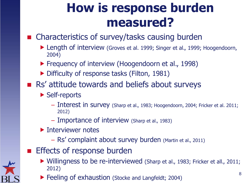#### **How is response burden measured?**

#### ■ Characteristics of survey/tasks causing burden

- ▶ Length of interview (Groves et al. 1999; Singer et al., 1999; Hoogendoorn, 2004)
- **Find Frequency of interview (Hoogendoorn et al., 1998)**
- Difficulty of response tasks (Filton, 1981)
- Rs' attitude towards and beliefs about surveys
	- ▶ Self-reports
		- Interest in survey (Sharp et al., 1983; Hoogendoorn, 2004; Fricker et al. 2011; 2012)
		- Importance of interview (Sharp et al., 1983)
	- **Interviewer notes** 
		- Rs' complaint about survey burden (Martin et al., 2011)
- Effects of response burden
	- 8 ▶ Willingness to be re-interviewed (Sharp et al., 1983; Fricker et all., 2011; 2012)
	- ▶ Feeling of exhaustion (Stocke and Langfeldt; 2004)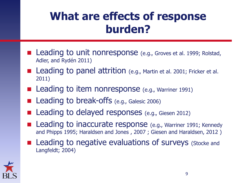#### **What are effects of response burden?**

- Leading to unit nonresponse (e.g., Groves et al. 1999; Rolstad, Adler, and Rydén 2011)
- **Leading to panel attrition** (e.g., Martin et al. 2001; Fricker et al. 2011)
- Leading to item nonresponse (e.g., Warriner 1991)
- Leading to break-offs (e.g., Galesic 2006)
- Leading to delayed responses (e.g., Giesen 2012)
- Leading to inaccurate response (e.g., Warriner 1991; Kennedy and Phipps 1995; Haraldsen and Jones , 2007 ; Giesen and Haraldsen, 2012 )
- **Leading to negative evaluations of surveys** (Stocke and Langfeldt; 2004)

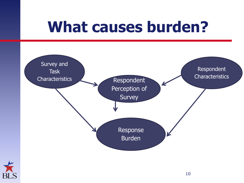#### **What causes burden?**



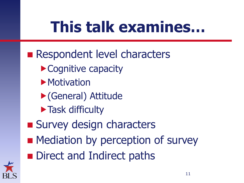# **This talk examines…**

Respondent level characters ▶ Cognitive capacity **Motivation** (General) Attitude **Task difficulty Survey design characters Mediation by perception of survey Direct and Indirect paths** 

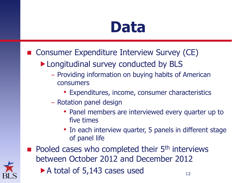#### **Data**

- Consumer Expenditure Interview Survey (CE)
	- Longitudinal survey conducted by BLS
		- Providing information on buying habits of American consumers
			- Expenditures, income, consumer characteristics
		- Rotation panel design
			- Panel members are interviewed every quarter up to five times
			- In each interview quarter, 5 panels in different stage of panel life
- $\blacksquare$  Pooled cases who completed their 5<sup>th</sup> interviews between October 2012 and December 2012
	- A total of  $5,143$  cases used  $12$



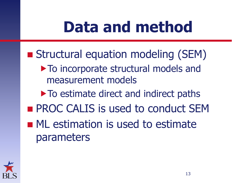### **Data and method**

- Structural equation modeling (SEM)
	- $\triangleright$  To incorporate structural models and measurement models
	- $\triangleright$  To estimate direct and indirect paths
- **PROC CALIS is used to conduct SEM**
- **ML** estimation is used to estimate parameters

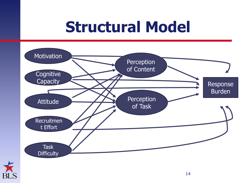#### **Structural Model**



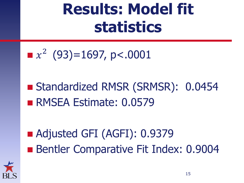#### **Results: Model fit statistics**

$$
x^2 (93)=1697, p<.0001
$$

■ Standardized RMSR (SRMSR): 0.0454 RMSEA Estimate: 0.0579

■ Adjusted GFI (AGFI): 0.9379 Bentler Comparative Fit Index: 0.9004

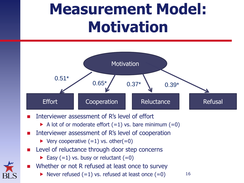### **Measurement Model: Motivation**



- Interviewer assessment of R's level of effort
	- A lot of or moderate effort  $(=1)$  vs. bare minimum  $(=0)$
- Interviewer assessment of R's level of cooperation
	- $\triangleright$  Very cooperative  $(=1)$  vs. other $(=0)$
- Level of reluctance through door step concerns
	- Easy  $(=1)$  vs. busy or reluctant  $(=0)$
- Whether or not R refused at least once to survey
	- Never refused  $(=1)$  vs. refused at least once  $(=0)$  16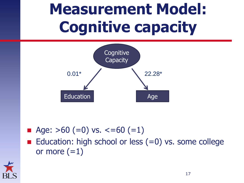### **Measurement Model: Cognitive capacity**



- Age:  $>60 (=0)$  vs.  $<=60 (=1)$
- Education: high school or less  $(=0)$  vs. some college or more  $(=1)$

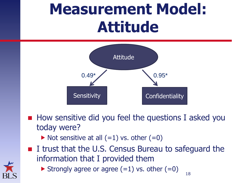#### **Measurement Model: Attitude**



- $\blacksquare$  How sensitive did you feel the questions I asked you today were?
	- $\blacktriangleright$  Not sensitive at all (=1) vs. other (=0)
- I trust that the U.S. Census Bureau to safeguard the information that I provided them

18

Strongly agree or agree  $(=1)$  vs. other  $(=0)$ 

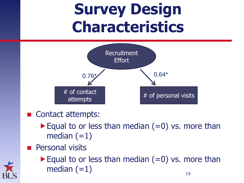### **Survey Design Characteristics**



- Contact attempts:
	- Equal to or less than median  $(=0)$  vs. more than median  $(=1)$
- **Personal visits**



Equal to or less than median  $(=0)$  vs. more than median  $(=1)$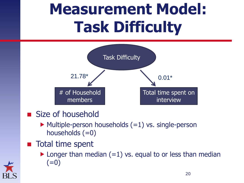### **Measurement Model: Task Difficulty**



- Size of household
	- $\blacktriangleright$  Multiple-person households (=1) vs. single-person households  $(=0)$
- **Total time spent** 
	- $\blacktriangleright$  Longer than median (=1) vs. equal to or less than median  $(=0)$

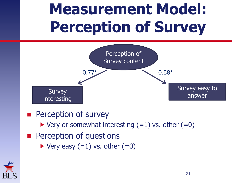## **Measurement Model: Perception of Survey**



- Perception of survey
	- $\triangleright$  Very or somewhat interesting  $(=1)$  vs. other  $(=0)$
- **Perception of questions** 
	- $\blacktriangleright$  Very easy (=1) vs. other (=0)

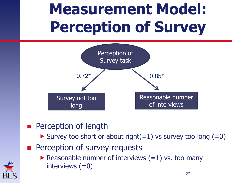# **Measurement Model: Perception of Survey**



- **Perception of length** 
	- Survey too short or about right(=1) vs survey too long (=0)
- **Perception of survey requests**



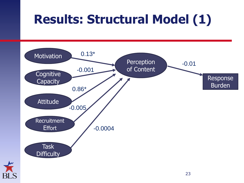#### **Results: Structural Model (1)**



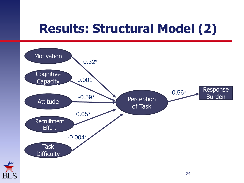#### **Results: Structural Model (2)**



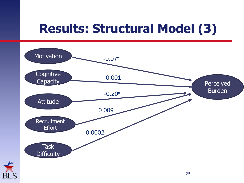#### **Results: Structural Model (3)**



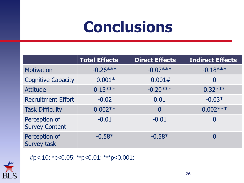### **Conclusions**

|                                        | <b>Total Effects</b> | <b>Direct Effects</b> | <b>Indirect Effects</b> |
|----------------------------------------|----------------------|-----------------------|-------------------------|
| <b>Motivation</b>                      | $-0.26***$           | $-0.07***$            | $-0.18***$              |
| <b>Cognitive Capacity</b>              | $-0.001*$            | $-0.001#$             | $\overline{0}$          |
| <b>Attitude</b>                        | $0.13***$            | $-0.20***$            | $0.32***$               |
| <b>Recruitment Effort</b>              | $-0.02$              | 0.01                  | $-0.03*$                |
| <b>Task Difficulty</b>                 | $0.002**$            | $\Omega$              | $0.002***$              |
| Perception of<br><b>Survey Content</b> | $-0.01$              | $-0.01$               | $\overline{0}$          |
| Perception of<br><b>Survey task</b>    | $-0.58*$             | $-0.58*$              | 0                       |



#p<.10; \*p<0.05; \*\*p<0.01; \*\*\*p<0.001;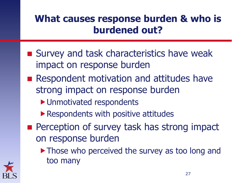#### **What causes response burden & who is burdened out?**

- Survey and task characteristics have weak impact on response burden
- **Respondent motivation and attitudes have** strong impact on response burden
	- ▶ Unmotivated respondents
	- ▶ Respondents with positive attitudes
- **Perception of survey task has strong impact** on response burden
	- Those who perceived the survey as too long and too many

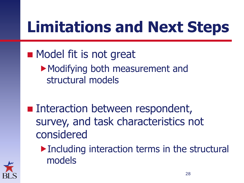### **Limitations and Next Steps**

#### **Nodel fit is not great** Modifying both measurement and structural models

- **Interaction between respondent,** survey, and task characteristics not considered
	- ▶ Including interaction terms in the structural models